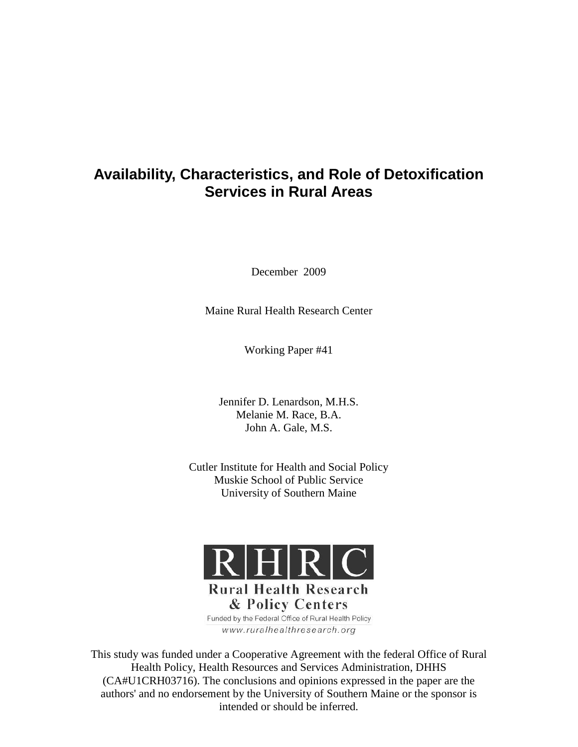# **Availability, Characteristics, and Role of Detoxification Services in Rural Areas**

December 2009

Maine Rural Health Research Center

Working Paper #41

Jennifer D. Lenardson, M.H.S. Melanie M. Race, B.A. John A. Gale, M.S.

Cutler Institute for Health and Social Policy Muskie School of Public Service University of Southern Maine



& Policy Centers Funded by the Federal Office of Rural Health Policy www.ruralhealthresearch.org

This study was funded under a Cooperative Agreement with the federal Office of Rural Health Policy, Health Resources and Services Administration, DHHS (CA#U1CRH03716). The conclusions and opinions expressed in the paper are the authors' and no endorsement by the University of Southern Maine or the sponsor is intended or should be inferred.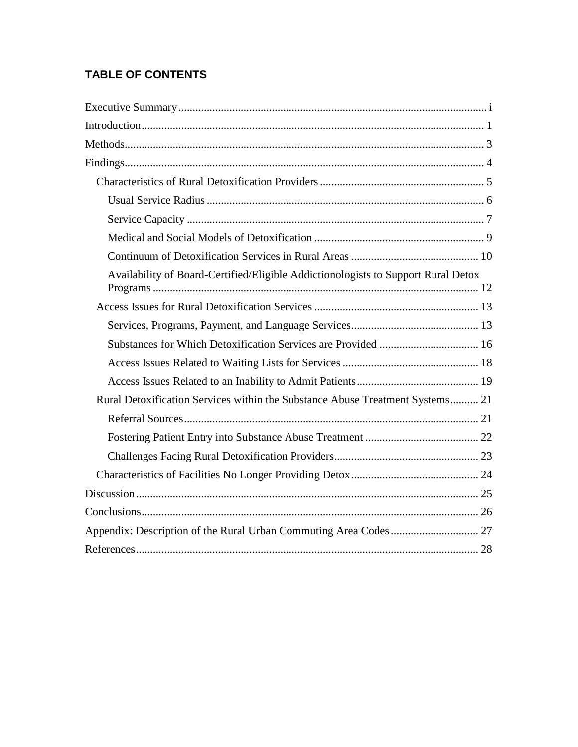# **TABLE OF CONTENTS**

| Availability of Board-Certified/Eligible Addictionologists to Support Rural Detox |  |
|-----------------------------------------------------------------------------------|--|
|                                                                                   |  |
|                                                                                   |  |
|                                                                                   |  |
|                                                                                   |  |
|                                                                                   |  |
| Rural Detoxification Services within the Substance Abuse Treatment Systems 21     |  |
|                                                                                   |  |
|                                                                                   |  |
|                                                                                   |  |
|                                                                                   |  |
|                                                                                   |  |
|                                                                                   |  |
|                                                                                   |  |
|                                                                                   |  |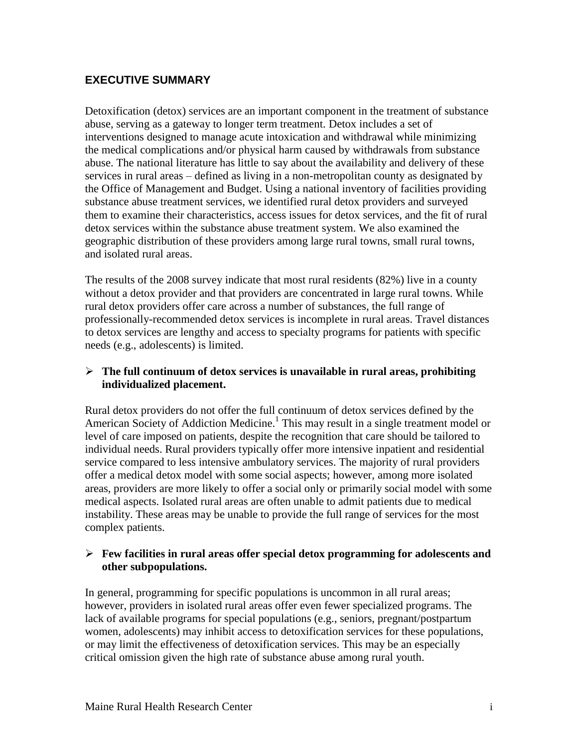# <span id="page-4-0"></span>**EXECUTIVE SUMMARY**

Detoxification (detox) services are an important component in the treatment of substance abuse, serving as a gateway to longer term treatment. Detox includes a set of interventions designed to manage acute intoxication and withdrawal while minimizing the medical complications and/or physical harm caused by withdrawals from substance abuse. The national literature has little to say about the availability and delivery of these services in rural areas – defined as living in a non-metropolitan county as designated by the Office of Management and Budget. Using a national inventory of facilities providing substance abuse treatment services, we identified rural detox providers and surveyed them to examine their characteristics, access issues for detox services, and the fit of rural detox services within the substance abuse treatment system. We also examined the geographic distribution of these providers among large rural towns, small rural towns, and isolated rural areas.

The results of the 2008 survey indicate that most rural residents (82%) live in a county without a detox provider and that providers are concentrated in large rural towns. While rural detox providers offer care across a number of substances, the full range of professionally-recommended detox services is incomplete in rural areas. Travel distances to detox services are lengthy and access to specialty programs for patients with specific needs (e.g., adolescents) is limited.

#### **The full continuum of detox services is unavailable in rural areas, prohibiting individualized placement.**

Rural detox providers do not offer the full continuum of detox services defined by the American Society of Addiction Medicine. 1 This may result in a single treatment model or level of care imposed on patients, despite the recognition that care should be tailored to individual needs. Rural providers typically offer more intensive inpatient and residential service compared to less intensive ambulatory services. The majority of rural providers offer a medical detox model with some social aspects; however, among more isolated areas, providers are more likely to offer a social only or primarily social model with some medical aspects. Isolated rural areas are often unable to admit patients due to medical instability. These areas may be unable to provide the full range of services for the most complex patients.

#### **Few facilities in rural areas offer special detox programming for adolescents and other subpopulations.**

In general, programming for specific populations is uncommon in all rural areas; however, providers in isolated rural areas offer even fewer specialized programs. The lack of available programs for special populations (e.g., seniors, pregnant/postpartum women, adolescents) may inhibit access to detoxification services for these populations, or may limit the effectiveness of detoxification services. This may be an especially critical omission given the high rate of substance abuse among rural youth.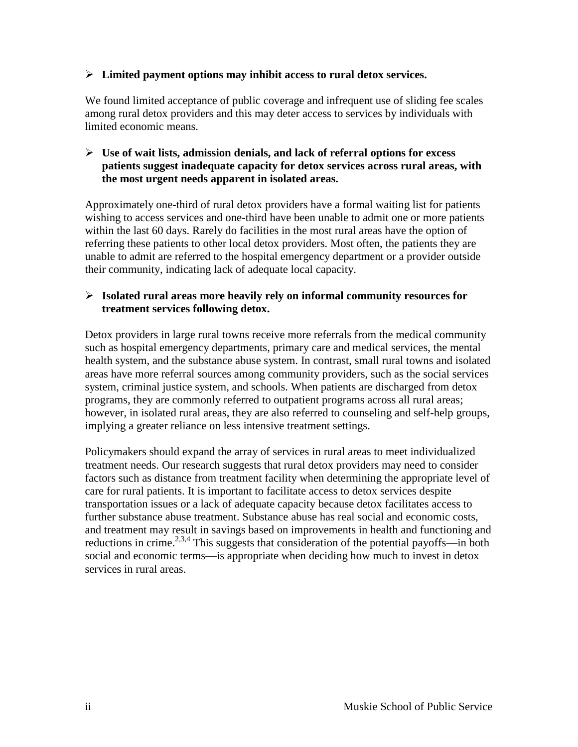#### **Limited payment options may inhibit access to rural detox services.**

We found limited acceptance of public coverage and infrequent use of sliding fee scales among rural detox providers and this may deter access to services by individuals with limited economic means.

#### **Use of wait lists, admission denials, and lack of referral options for excess patients suggest inadequate capacity for detox services across rural areas, with the most urgent needs apparent in isolated areas.**

Approximately one-third of rural detox providers have a formal waiting list for patients wishing to access services and one-third have been unable to admit one or more patients within the last 60 days. Rarely do facilities in the most rural areas have the option of referring these patients to other local detox providers. Most often, the patients they are unable to admit are referred to the hospital emergency department or a provider outside their community, indicating lack of adequate local capacity.

#### **Isolated rural areas more heavily rely on informal community resources for treatment services following detox.**

Detox providers in large rural towns receive more referrals from the medical community such as hospital emergency departments, primary care and medical services, the mental health system, and the substance abuse system. In contrast, small rural towns and isolated areas have more referral sources among community providers, such as the social services system, criminal justice system, and schools. When patients are discharged from detox programs, they are commonly referred to outpatient programs across all rural areas; however, in isolated rural areas, they are also referred to counseling and self-help groups, implying a greater reliance on less intensive treatment settings.

Policymakers should expand the array of services in rural areas to meet individualized treatment needs. Our research suggests that rural detox providers may need to consider factors such as distance from treatment facility when determining the appropriate level of care for rural patients. It is important to facilitate access to detox services despite transportation issues or a lack of adequate capacity because detox facilitates access to further substance abuse treatment. Substance abuse has real social and economic costs, and treatment may result in savings based on improvements in health and functioning and reductions in crime.<sup>2,3,4</sup> This suggests that consideration of the potential payoffs—in both social and economic terms—is appropriate when deciding how much to invest in detox services in rural areas.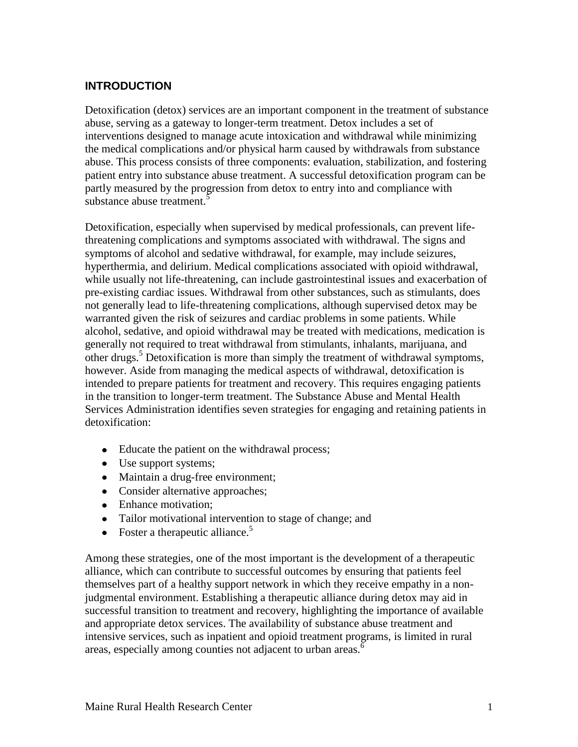# <span id="page-6-0"></span>**INTRODUCTION**

Detoxification (detox) services are an important component in the treatment of substance abuse, serving as a gateway to longer-term treatment. Detox includes a set of interventions designed to manage acute intoxication and withdrawal while minimizing the medical complications and/or physical harm caused by withdrawals from substance abuse. This process consists of three components: evaluation, stabilization, and fostering patient entry into substance abuse treatment. A successful detoxification program can be partly measured by the progression from detox to entry into and compliance with substance abuse treatment.<sup>5</sup>

Detoxification, especially when supervised by medical professionals, can prevent lifethreatening complications and symptoms associated with withdrawal. The signs and symptoms of alcohol and sedative withdrawal, for example, may include seizures, hyperthermia, and delirium. Medical complications associated with opioid withdrawal, while usually not life-threatening, can include gastrointestinal issues and exacerbation of pre-existing cardiac issues. Withdrawal from other substances, such as stimulants, does not generally lead to life-threatening complications, although supervised detox may be warranted given the risk of seizures and cardiac problems in some patients. While alcohol, sedative, and opioid withdrawal may be treated with medications, medication is generally not required to treat withdrawal from stimulants, inhalants, marijuana, and other drugs.<sup>5</sup> Detoxification is more than simply the treatment of withdrawal symptoms, however. Aside from managing the medical aspects of withdrawal, detoxification is intended to prepare patients for treatment and recovery. This requires engaging patients in the transition to longer-term treatment. The Substance Abuse and Mental Health Services Administration identifies seven strategies for engaging and retaining patients in detoxification:

- Educate the patient on the withdrawal process;
- Use support systems;
- Maintain a drug-free environment;
- Consider alternative approaches;
- Enhance motivation;
- Tailor motivational intervention to stage of change; and
- Foster a therapeutic alliance.<sup>5</sup>

Among these strategies, one of the most important is the development of a therapeutic alliance, which can contribute to successful outcomes by ensuring that patients feel themselves part of a healthy support network in which they receive empathy in a nonjudgmental environment. Establishing a therapeutic alliance during detox may aid in successful transition to treatment and recovery, highlighting the importance of available and appropriate detox services. The availability of substance abuse treatment and intensive services, such as inpatient and opioid treatment programs, is limited in rural areas, especially among counties not adjacent to urban areas.<sup>6</sup>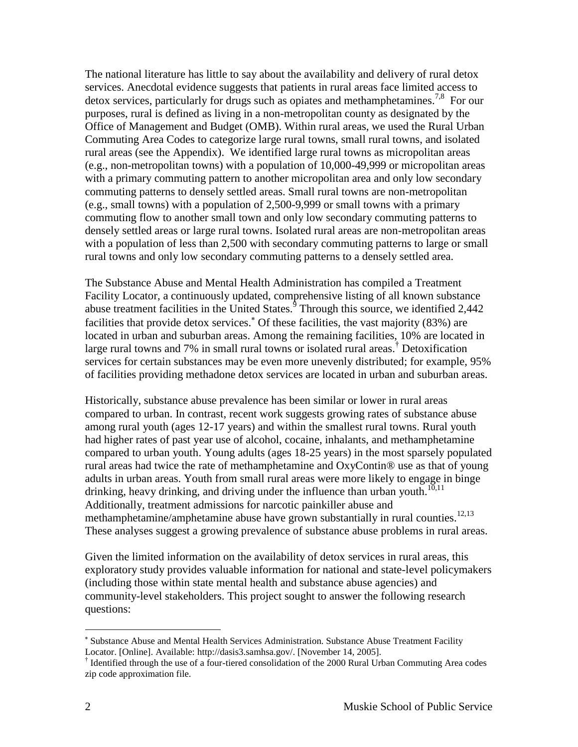The national literature has little to say about the availability and delivery of rural detox services. Anecdotal evidence suggests that patients in rural areas face limited access to detox services, particularly for drugs such as opiates and methamphetamines.<sup>7,8</sup> For our purposes, rural is defined as living in a non-metropolitan county as designated by the Office of Management and Budget (OMB). Within rural areas, we used the Rural Urban Commuting Area Codes to categorize large rural towns, small rural towns, and isolated rural areas (see the Appendix). We identified large rural towns as micropolitan areas (e.g., non-metropolitan towns) with a population of 10,000-49,999 or micropolitan areas with a primary commuting pattern to another micropolitan area and only low secondary commuting patterns to densely settled areas. Small rural towns are non-metropolitan (e.g., small towns) with a population of 2,500-9,999 or small towns with a primary commuting flow to another small town and only low secondary commuting patterns to densely settled areas or large rural towns. Isolated rural areas are non-metropolitan areas with a population of less than 2,500 with secondary commuting patterns to large or small rural towns and only low secondary commuting patterns to a densely settled area.

The Substance Abuse and Mental Health Administration has compiled a Treatment Facility Locator, a continuously updated, comprehensive listing of all known substance abuse treatment facilities in the United States. $\frac{3}{5}$  Through this source, we identified 2,442 facilities that provide detox services.<sup>\*</sup> Of these facilities, the vast majority (83%) are located in urban and suburban areas. Among the remaining facilities, 10% are located in large rural towns and 7% in small rural towns or isolated rural areas.<sup>†</sup> Detoxification services for certain substances may be even more unevenly distributed; for example, 95% of facilities providing methadone detox services are located in urban and suburban areas.

Historically, substance abuse prevalence has been similar or lower in rural areas compared to urban. In contrast, recent work suggests growing rates of substance abuse among rural youth (ages 12-17 years) and within the smallest rural towns. Rural youth had higher rates of past year use of alcohol, cocaine, inhalants, and methamphetamine compared to urban youth. Young adults (ages 18-25 years) in the most sparsely populated rural areas had twice the rate of methamphetamine and OxyContin® use as that of young adults in urban areas. Youth from small rural areas were more likely to engage in binge drinking, heavy drinking, and driving under the influence than urban youth.<sup>10,11</sup> Additionally, treatment admissions for narcotic painkiller abuse and methamphetamine/amphetamine abuse have grown substantially in rural counties.<sup>12,13</sup> These analyses suggest a growing prevalence of substance abuse problems in rural areas.

Given the limited information on the availability of detox services in rural areas, this exploratory study provides valuable information for national and state-level policymakers (including those within state mental health and substance abuse agencies) and community-level stakeholders. This project sought to answer the following research questions:

 $\overline{a}$ 

Substance Abuse and Mental Health Services Administration. Substance Abuse Treatment Facility Locator. [Online]. Available: http://dasis3.samhsa.gov/. [November 14, 2005].

<sup>†</sup> Identified through the use of a four-tiered consolidation of the 2000 Rural Urban Commuting Area codes zip code approximation file.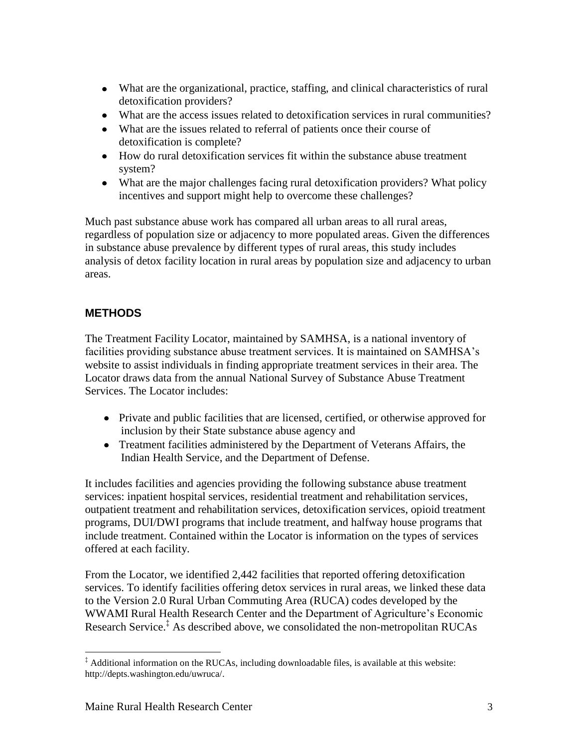- What are the organizational, practice, staffing, and clinical characteristics of rural detoxification providers?
- What are the access issues related to detoxification services in rural communities?
- What are the issues related to referral of patients once their course of detoxification is complete?
- How do rural detoxification services fit within the substance abuse treatment system?
- What are the major challenges facing rural detoxification providers? What policy incentives and support might help to overcome these challenges?

Much past substance abuse work has compared all urban areas to all rural areas, regardless of population size or adjacency to more populated areas. Given the differences in substance abuse prevalence by different types of rural areas, this study includes analysis of detox facility location in rural areas by population size and adjacency to urban areas.

# <span id="page-8-0"></span>**METHODS**

The Treatment Facility Locator, maintained by SAMHSA, is a national inventory of facilities providing substance abuse treatment services. It is maintained on SAMHSA's website to assist individuals in finding appropriate treatment services in their area. The Locator draws data from the annual National Survey of Substance Abuse Treatment Services. The Locator includes:

- Private and public facilities that are licensed, certified, or otherwise approved for inclusion by their State substance abuse agency and
- Treatment facilities administered by the Department of Veterans Affairs, the Indian Health Service, and the Department of Defense.

It includes facilities and agencies providing the following substance abuse treatment services: inpatient hospital services, residential treatment and rehabilitation services, outpatient treatment and rehabilitation services, detoxification services, opioid treatment programs, DUI/DWI programs that include treatment, and halfway house programs that include treatment. Contained within the Locator is information on the types of services offered at each facility.

From the Locator, we identified 2,442 facilities that reported offering detoxification services. To identify facilities offering detox services in rural areas, we linked these data to the Version 2.0 Rural Urban Commuting Area (RUCA) codes developed by the WWAMI Rural Health Research Center and the Department of Agriculture's Economic Research Service. ‡ As described above, we consolidated the non-metropolitan RUCAs

 $\overline{a}$ ‡ Additional information on the RUCAs, including downloadable files, is available at this website: http://depts.washington.edu/uwruca/.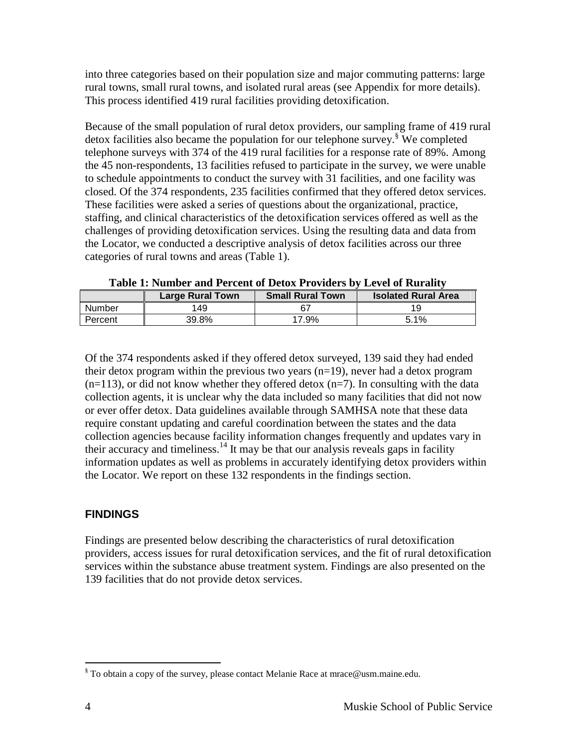into three categories based on their population size and major commuting patterns: large rural towns, small rural towns, and isolated rural areas (see Appendix for more details). This process identified 419 rural facilities providing detoxification.

Because of the small population of rural detox providers, our sampling frame of 419 rural detox facilities also became the population for our telephone survey.<sup>§</sup> We completed telephone surveys with 374 of the 419 rural facilities for a response rate of 89%. Among the 45 non-respondents, 13 facilities refused to participate in the survey, we were unable to schedule appointments to conduct the survey with 31 facilities, and one facility was closed. Of the 374 respondents, 235 facilities confirmed that they offered detox services. These facilities were asked a series of questions about the organizational, practice, staffing, and clinical characteristics of the detoxification services offered as well as the challenges of providing detoxification services. Using the resulting data and data from the Locator, we conducted a descriptive analysis of detox facilities across our three categories of rural towns and areas (Table 1).

| Table 1. Fulliber and I creent of Detox I foviders by Devel of Kuranty |                         |                         |                            |  |
|------------------------------------------------------------------------|-------------------------|-------------------------|----------------------------|--|
|                                                                        | <b>Large Rural Town</b> | <b>Small Rural Town</b> | <b>Isolated Rural Area</b> |  |
| Number                                                                 | 149                     |                         |                            |  |
| Percent                                                                | 39.8%                   | 17.9%                   | 5.1%                       |  |

**Table 1: Number and Percent of Detox Providers by Level of Rurality**

Of the 374 respondents asked if they offered detox surveyed, 139 said they had ended their detox program within the previous two years  $(n=19)$ , never had a detox program  $(n=113)$ , or did not know whether they offered detox  $(n=7)$ . In consulting with the data collection agents, it is unclear why the data included so many facilities that did not now or ever offer detox. Data guidelines available through SAMHSA note that these data require constant updating and careful coordination between the states and the data collection agencies because facility information changes frequently and updates vary in their accuracy and timeliness.<sup>14</sup> It may be that our analysis reveals gaps in facility information updates as well as problems in accurately identifying detox providers within the Locator. We report on these 132 respondents in the findings section.

# <span id="page-9-0"></span>**FINDINGS**

<span id="page-9-1"></span>Findings are presented below describing the characteristics of rural detoxification providers, access issues for rural detoxification services, and the fit of rural detoxification services within the substance abuse treatment system. Findings are also presented on the 139 facilities that do not provide detox services.

 $\overline{a}$ 

<sup>§</sup> To obtain a copy of the survey, please contact Melanie Race at mrace@usm.maine.edu.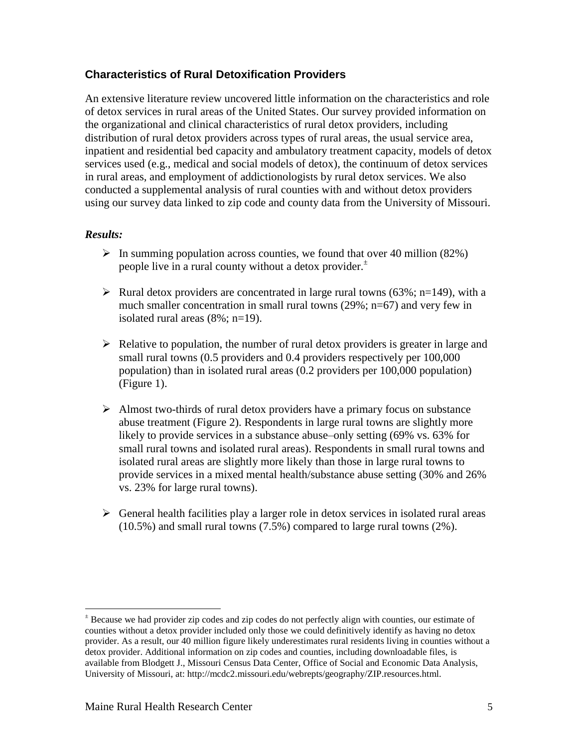## **Characteristics of Rural Detoxification Providers**

An extensive literature review uncovered little information on the characteristics and role of detox services in rural areas of the United States. Our survey provided information on the organizational and clinical characteristics of rural detox providers, including distribution of rural detox providers across types of rural areas, the usual service area, inpatient and residential bed capacity and ambulatory treatment capacity, models of detox services used (e.g., medical and social models of detox), the continuum of detox services in rural areas, and employment of addictionologists by rural detox services. We also conducted a supplemental analysis of rural counties with and without detox providers using our survey data linked to zip code and county data from the University of Missouri.

#### *Results:*

 $\overline{a}$ 

- $\triangleright$  In summing population across counties, we found that over 40 million (82%) people live in a rural county without a detox provider. $\pm$
- Exercise Nural detox providers are concentrated in large rural towns (63%; n=149), with a much smaller concentration in small rural towns (29%; n=67) and very few in isolated rural areas (8%; n=19).
- $\triangleright$  Relative to population, the number of rural detox providers is greater in large and small rural towns (0.5 providers and 0.4 providers respectively per 100,000 population) than in isolated rural areas (0.2 providers per 100,000 population) (Figure 1).
- $\triangleright$  Almost two-thirds of rural detox providers have a primary focus on substance abuse treatment (Figure 2). Respondents in large rural towns are slightly more likely to provide services in a substance abuse–only setting (69% vs. 63% for small rural towns and isolated rural areas). Respondents in small rural towns and isolated rural areas are slightly more likely than those in large rural towns to provide services in a mixed mental health/substance abuse setting (30% and 26% vs. 23% for large rural towns).
- $\triangleright$  General health facilities play a larger role in detox services in isolated rural areas (10.5%) and small rural towns (7.5%) compared to large rural towns (2%).

<sup>±</sup> Because we had provider zip codes and zip codes do not perfectly align with counties, our estimate of counties without a detox provider included only those we could definitively identify as having no detox provider. As a result, our 40 million figure likely underestimates rural residents living in counties without a detox provider. Additional information on zip codes and counties, including downloadable files, is available from Blodgett J., Missouri Census Data Center, Office of Social and Economic Data Analysis, University of Missouri, at: http://mcdc2.missouri.edu/webrepts/geography/ZIP.resources.html.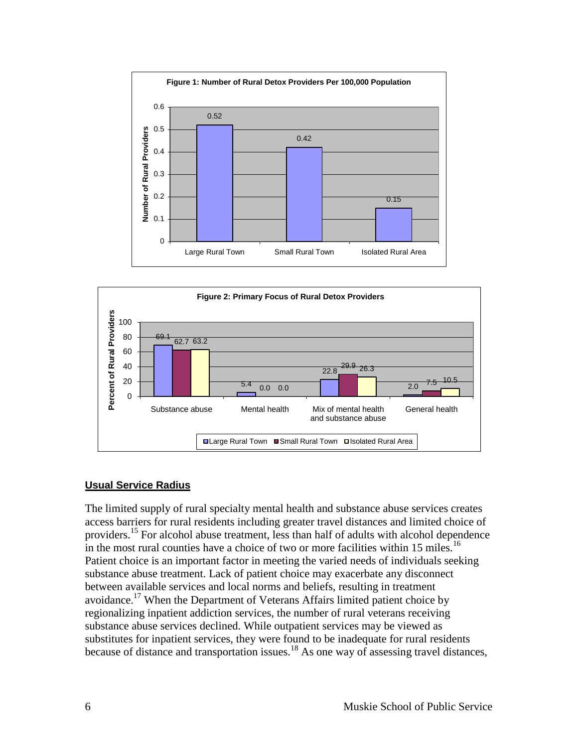



#### <span id="page-11-0"></span>**Usual Service Radius**

The limited supply of rural specialty mental health and substance abuse services creates access barriers for rural residents including greater travel distances and limited choice of providers.<sup>15</sup> For alcohol abuse treatment, less than half of adults with alcohol dependence in the most rural counties have a choice of two or more facilities within 15 miles.<sup>16</sup> Patient choice is an important factor in meeting the varied needs of individuals seeking substance abuse treatment. Lack of patient choice may exacerbate any disconnect between available services and local norms and beliefs, resulting in treatment avoidance.<sup>17</sup> When the Department of Veterans Affairs limited patient choice by regionalizing inpatient addiction services, the number of rural veterans receiving substance abuse services declined. While outpatient services may be viewed as substitutes for inpatient services, they were found to be inadequate for rural residents because of distance and transportation issues.<sup>18</sup> As one way of assessing travel distances,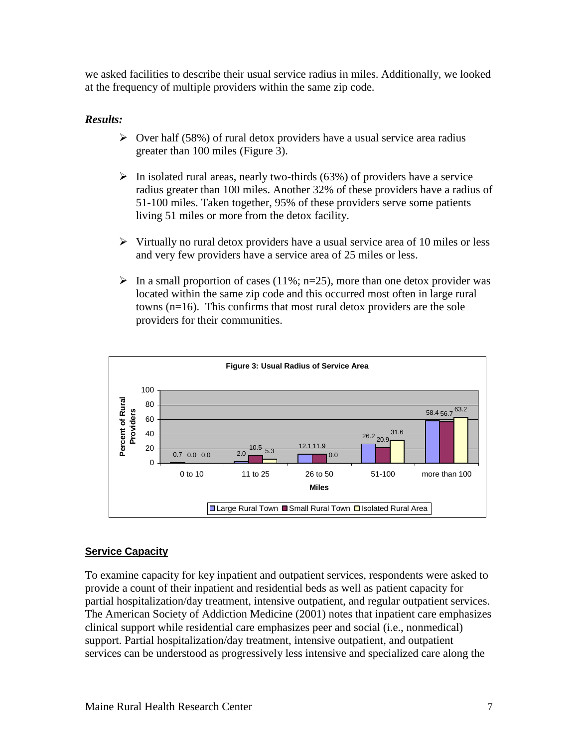we asked facilities to describe their usual service radius in miles. Additionally, we looked at the frequency of multiple providers within the same zip code.

#### *Results:*

- $\triangleright$  Over half (58%) of rural detox providers have a usual service area radius greater than 100 miles (Figure 3).
- $\triangleright$  In isolated rural areas, nearly two-thirds (63%) of providers have a service radius greater than 100 miles. Another 32% of these providers have a radius of 51-100 miles. Taken together, 95% of these providers serve some patients living 51 miles or more from the detox facility.
- $\triangleright$  Virtually no rural detox providers have a usual service area of 10 miles or less and very few providers have a service area of 25 miles or less.
- In a small proportion of cases (11%; n=25), more than one detox provider was located within the same zip code and this occurred most often in large rural towns (n=16). This confirms that most rural detox providers are the sole providers for their communities.



#### <span id="page-12-0"></span>**Service Capacity**

To examine capacity for key inpatient and outpatient services, respondents were asked to provide a count of their inpatient and residential beds as well as patient capacity for partial hospitalization/day treatment, intensive outpatient, and regular outpatient services. The American Society of Addiction Medicine (2001) notes that inpatient care emphasizes clinical support while residential care emphasizes peer and social (i.e., nonmedical) support. Partial hospitalization/day treatment, intensive outpatient, and outpatient services can be understood as progressively less intensive and specialized care along the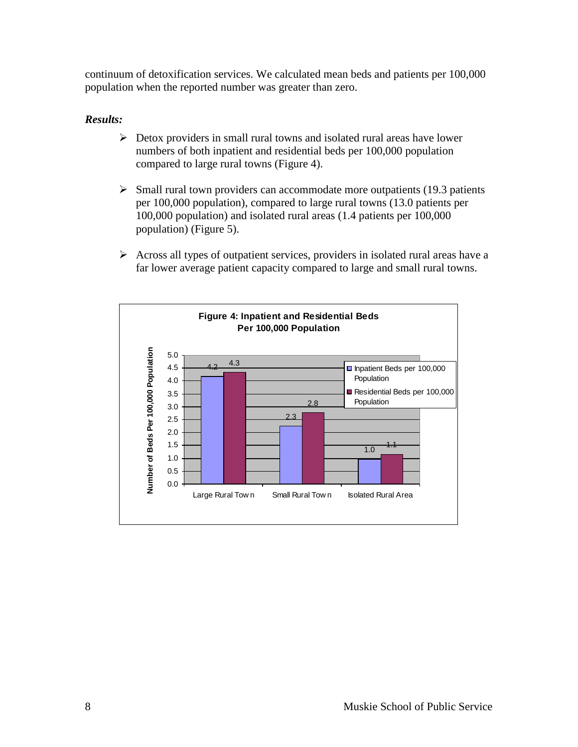continuum of detoxification services. We calculated mean beds and patients per 100,000 population when the reported number was greater than zero.

- $\triangleright$  Detox providers in small rural towns and isolated rural areas have lower numbers of both inpatient and residential beds per 100,000 population compared to large rural towns (Figure 4).
- $\triangleright$  Small rural town providers can accommodate more outpatients (19.3 patients per 100,000 population), compared to large rural towns (13.0 patients per 100,000 population) and isolated rural areas (1.4 patients per 100,000 population) (Figure 5).
- $\triangleright$  Across all types of outpatient services, providers in isolated rural areas have a far lower average patient capacity compared to large and small rural towns.

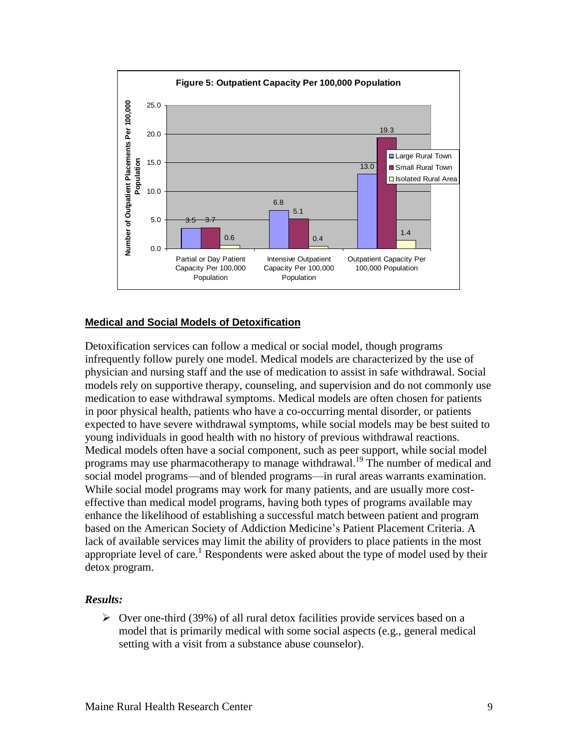![](_page_14_Figure_0.jpeg)

#### <span id="page-14-0"></span>**Medical and Social Models of Detoxification**

Detoxification services can follow a medical or social model, though programs infrequently follow purely one model. Medical models are characterized by the use of physician and nursing staff and the use of medication to assist in safe withdrawal. Social models rely on supportive therapy, counseling, and supervision and do not commonly use medication to ease withdrawal symptoms. Medical models are often chosen for patients in poor physical health, patients who have a co-occurring mental disorder, or patients expected to have severe withdrawal symptoms, while social models may be best suited to young individuals in good health with no history of previous withdrawal reactions. Medical models often have a social component, such as peer support, while social model programs may use pharmacotherapy to manage withdrawal.<sup>19</sup> The number of medical and social model programs—and of blended programs—in rural areas warrants examination. While social model programs may work for many patients, and are usually more costeffective than medical model programs, having both types of programs available may enhance the likelihood of establishing a successful match between patient and program based on the American Society of Addiction Medicine's Patient Placement Criteria. A lack of available services may limit the ability of providers to place patients in the most appropriate level of care.<sup>1</sup> Respondents were asked about the type of model used by their detox program.

#### *Results:*

 $\triangleright$  Over one-third (39%) of all rural detox facilities provide services based on a model that is primarily medical with some social aspects (e.g., general medical setting with a visit from a substance abuse counselor).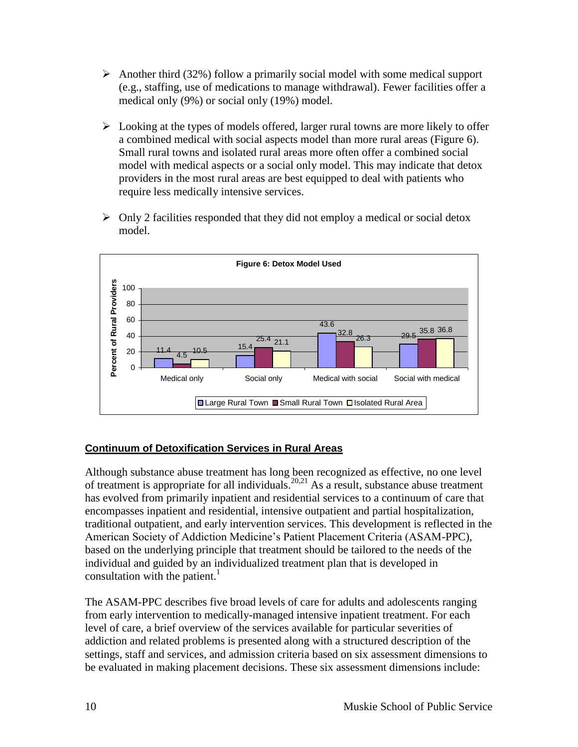- Another third (32%) follow a primarily social model with some medical support (e.g., staffing, use of medications to manage withdrawal). Fewer facilities offer a medical only (9%) or social only (19%) model.
- $\triangleright$  Looking at the types of models offered, larger rural towns are more likely to offer a combined medical with social aspects model than more rural areas (Figure 6). Small rural towns and isolated rural areas more often offer a combined social model with medical aspects or a social only model. This may indicate that detox providers in the most rural areas are best equipped to deal with patients who require less medically intensive services.
- $\triangleright$  Only 2 facilities responded that they did not employ a medical or social detox model.

![](_page_15_Figure_3.jpeg)

#### <span id="page-15-0"></span>**Continuum of Detoxification Services in Rural Areas**

Although substance abuse treatment has long been recognized as effective, no one level of treatment is appropriate for all individuals.<sup>20,21</sup> As a result, substance abuse treatment has evolved from primarily inpatient and residential services to a continuum of care that encompasses inpatient and residential, intensive outpatient and partial hospitalization, traditional outpatient, and early intervention services. This development is reflected in the American Society of Addiction Medicine's Patient Placement Criteria (ASAM-PPC), based on the underlying principle that treatment should be tailored to the needs of the individual and guided by an individualized treatment plan that is developed in consultation with the patient.<sup>1</sup>

The ASAM-PPC describes five broad levels of care for adults and adolescents ranging from early intervention to medically-managed intensive inpatient treatment. For each level of care, a brief overview of the services available for particular severities of addiction and related problems is presented along with a structured description of the settings, staff and services, and admission criteria based on six assessment dimensions to be evaluated in making placement decisions. These six assessment dimensions include: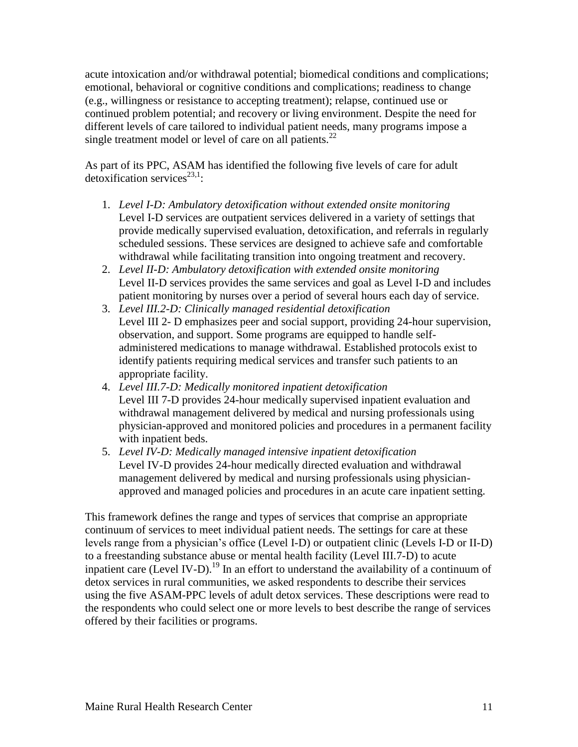acute intoxication and/or withdrawal potential; biomedical conditions and complications; emotional, behavioral or cognitive conditions and complications; readiness to change (e.g., willingness or resistance to accepting treatment); relapse, continued use or continued problem potential; and recovery or living environment. Despite the need for different levels of care tailored to individual patient needs, many programs impose a single treatment model or level of care on all patients. $^{22}$ 

As part of its PPC, ASAM has identified the following five levels of care for adult detoxification services<sup>23,1</sup>:

- 1. *Level I-D: Ambulatory detoxification without extended onsite monitoring* Level I-D services are outpatient services delivered in a variety of settings that provide medically supervised evaluation, detoxification, and referrals in regularly scheduled sessions. These services are designed to achieve safe and comfortable withdrawal while facilitating transition into ongoing treatment and recovery.
- 2. *Level II-D: Ambulatory detoxification with extended onsite monitoring* Level II-D services provides the same services and goal as Level I-D and includes patient monitoring by nurses over a period of several hours each day of service.
- 3. *Level III.2-D: Clinically managed residential detoxification* Level III 2- D emphasizes peer and social support, providing 24-hour supervision, observation, and support. Some programs are equipped to handle selfadministered medications to manage withdrawal. Established protocols exist to identify patients requiring medical services and transfer such patients to an appropriate facility.
- 4. *Level III.7-D: Medically monitored inpatient detoxification* Level III 7-D provides 24-hour medically supervised inpatient evaluation and withdrawal management delivered by medical and nursing professionals using physician-approved and monitored policies and procedures in a permanent facility with inpatient beds.
- 5. *Level IV-D: Medically managed intensive inpatient detoxification* Level IV-D provides 24-hour medically directed evaluation and withdrawal management delivered by medical and nursing professionals using physicianapproved and managed policies and procedures in an acute care inpatient setting.

This framework defines the range and types of services that comprise an appropriate continuum of services to meet individual patient needs. The settings for care at these levels range from a physician's office (Level I-D) or outpatient clinic (Levels I-D or II-D) to a freestanding substance abuse or mental health facility (Level III.7-D) to acute inpatient care (Level IV-D).<sup>19</sup> In an effort to understand the availability of a continuum of detox services in rural communities, we asked respondents to describe their services using the five ASAM-PPC levels of adult detox services. These descriptions were read to the respondents who could select one or more levels to best describe the range of services offered by their facilities or programs.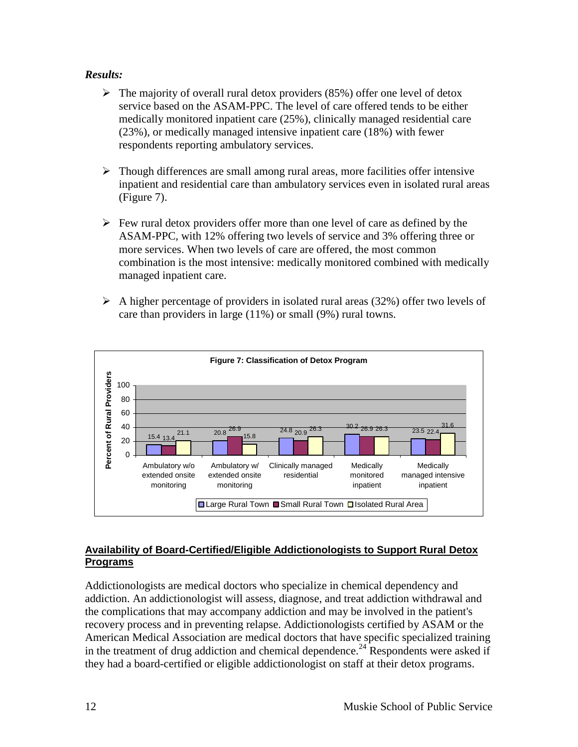#### *Results:*

- $\triangleright$  The majority of overall rural detox providers (85%) offer one level of detox service based on the ASAM-PPC. The level of care offered tends to be either medically monitored inpatient care (25%), clinically managed residential care (23%), or medically managed intensive inpatient care (18%) with fewer respondents reporting ambulatory services.
- $\triangleright$  Though differences are small among rural areas, more facilities offer intensive inpatient and residential care than ambulatory services even in isolated rural areas (Figure 7).
- $\triangleright$  Few rural detox providers offer more than one level of care as defined by the ASAM-PPC, with 12% offering two levels of service and 3% offering three or more services. When two levels of care are offered, the most common combination is the most intensive: medically monitored combined with medically managed inpatient care.
- $\triangleright$  A higher percentage of providers in isolated rural areas (32%) offer two levels of care than providers in large (11%) or small (9%) rural towns.

![](_page_17_Figure_5.jpeg)

#### <span id="page-17-0"></span>**Availability of Board-Certified/Eligible Addictionologists to Support Rural Detox Programs**

Addictionologists are medical doctors who specialize in chemical dependency and addiction. An addictionologist will assess, diagnose, and treat addiction withdrawal and the complications that may accompany addiction and may be involved in the patient's recovery process and in preventing relapse. Addictionologists certified by ASAM or the American Medical Association are medical doctors that have specific specialized training in the treatment of drug addiction and chemical dependence.<sup>24</sup> Respondents were asked if they had a board-certified or eligible addictionologist on staff at their detox programs.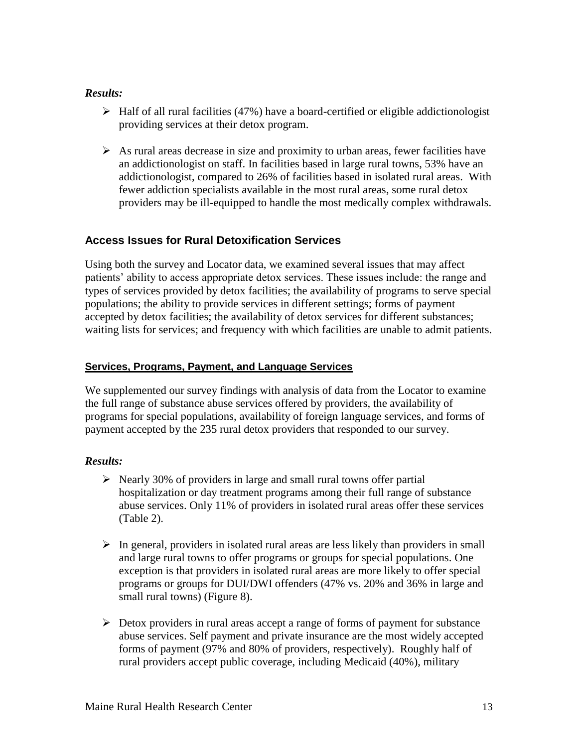#### *Results:*

- $\triangleright$  Half of all rural facilities (47%) have a board-certified or eligible addictionologist providing services at their detox program.
- $\triangleright$  As rural areas decrease in size and proximity to urban areas, fewer facilities have an addictionologist on staff. In facilities based in large rural towns, 53% have an addictionologist, compared to 26% of facilities based in isolated rural areas. With fewer addiction specialists available in the most rural areas, some rural detox providers may be ill-equipped to handle the most medically complex withdrawals.

## <span id="page-18-0"></span>**Access Issues for Rural Detoxification Services**

Using both the survey and Locator data, we examined several issues that may affect patients' ability to access appropriate detox services. These issues include: the range and types of services provided by detox facilities; the availability of programs to serve special populations; the ability to provide services in different settings; forms of payment accepted by detox facilities; the availability of detox services for different substances; waiting lists for services; and frequency with which facilities are unable to admit patients.

#### <span id="page-18-1"></span>**Services, Programs, Payment, and Language Services**

We supplemented our survey findings with analysis of data from the Locator to examine the full range of substance abuse services offered by providers, the availability of programs for special populations, availability of foreign language services, and forms of payment accepted by the 235 rural detox providers that responded to our survey.

- $\triangleright$  Nearly 30% of providers in large and small rural towns offer partial hospitalization or day treatment programs among their full range of substance abuse services. Only 11% of providers in isolated rural areas offer these services (Table 2).
- $\triangleright$  In general, providers in isolated rural areas are less likely than providers in small and large rural towns to offer programs or groups for special populations. One exception is that providers in isolated rural areas are more likely to offer special programs or groups for DUI/DWI offenders (47% vs. 20% and 36% in large and small rural towns) (Figure 8).
- $\triangleright$  Detox providers in rural areas accept a range of forms of payment for substance abuse services. Self payment and private insurance are the most widely accepted forms of payment (97% and 80% of providers, respectively). Roughly half of rural providers accept public coverage, including Medicaid (40%), military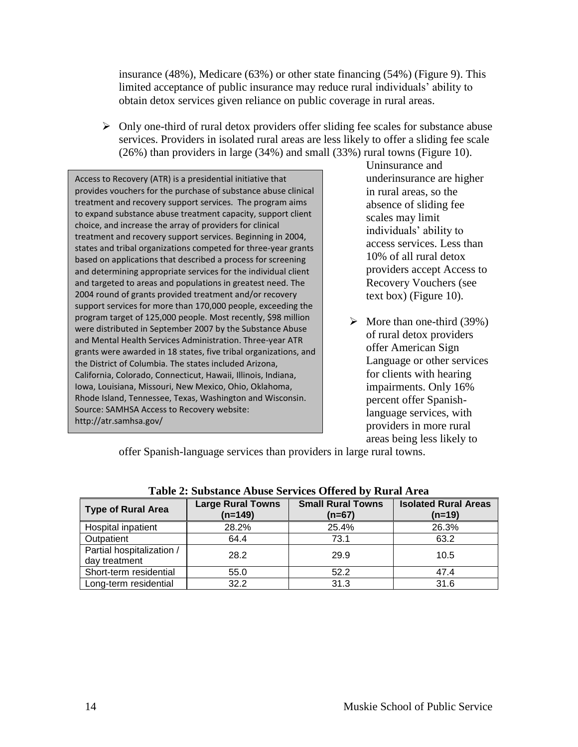insurance (48%), Medicare (63%) or other state financing (54%) (Figure 9). This limited acceptance of public insurance may reduce rural individuals' ability to obtain detox services given reliance on public coverage in rural areas.

 $\triangleright$  Only one-third of rural detox providers offer sliding fee scales for substance abuse services. Providers in isolated rural areas are less likely to offer a sliding fee scale (26%) than providers in large (34%) and small (33%) rural towns (Figure 10).

Access to Recovery (ATR) is a presidential initiative that provides vouchers for the purchase of substance abuse clinical treatment and recovery support services. The program aims to expand substance abuse treatment capacity, support client choice, and increase the array of providers for clinical treatment and recovery support services. Beginning in 2004, states and tribal organizations competed for three-year grants based on applications that described a process for screening and determining appropriate services for the individual client and targeted to areas and populations in greatest need. The 2004 round of grants provided treatment and/or recovery support services for more than 170,000 people, exceeding the program target of 125,000 people. Most recently, \$98 million were distributed in September 2007 by the Substance Abuse and Mental Health Services Administration. Three-year ATR grants were awarded in 18 states, five tribal organizations, and the District of Columbia. The states included Arizona, California, Colorado, Connecticut, Hawaii, Illinois, Indiana, Iowa, Louisiana, Missouri, New Mexico, Ohio, Oklahoma, Rhode Island, Tennessee, Texas, Washington and Wisconsin. Source: SAMHSA Access to Recovery website: http://atr.samhsa.gov/

Uninsurance and underinsurance are higher in rural areas, so the absence of sliding fee scales may limit individuals' ability to access services. Less than 10% of all rural detox providers accept Access to Recovery Vouchers (see text box) (Figure 10).

 $\triangleright$  More than one-third (39%) of rural detox providers offer American Sign Language or other services for clients with hearing impairments. Only 16% percent offer Spanishlanguage services, with providers in more rural areas being less likely to

offer Spanish-language services than providers in large rural towns.

| Table 2. Substance Abuse Sel vices Offered by Kural Area |                                       |                                      |                                         |  |  |
|----------------------------------------------------------|---------------------------------------|--------------------------------------|-----------------------------------------|--|--|
| <b>Type of Rural Area</b>                                | <b>Large Rural Towns</b><br>$(n=149)$ | <b>Small Rural Towns</b><br>$(n=67)$ | <b>Isolated Rural Areas</b><br>$(n=19)$ |  |  |
| Hospital inpatient                                       | 28.2%                                 | 25.4%                                | 26.3%                                   |  |  |
| Outpatient                                               | 64.4                                  | 73.1                                 | 63.2                                    |  |  |
| Partial hospitalization /<br>day treatment               | 28.2                                  | 29.9                                 | 10.5                                    |  |  |
| Short-term residential                                   | 55.0                                  | 52.2                                 | 47.4                                    |  |  |
| Long-term residential                                    | 32.2                                  | 31.3                                 | 31.6                                    |  |  |

| Table 2: Substance Abuse Services Offered by Rural Area |  |  |
|---------------------------------------------------------|--|--|
|---------------------------------------------------------|--|--|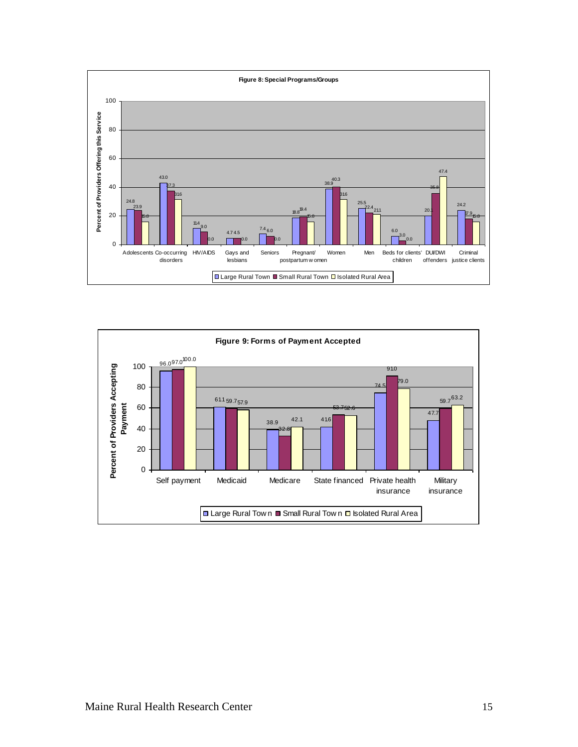![](_page_20_Figure_0.jpeg)

![](_page_20_Figure_1.jpeg)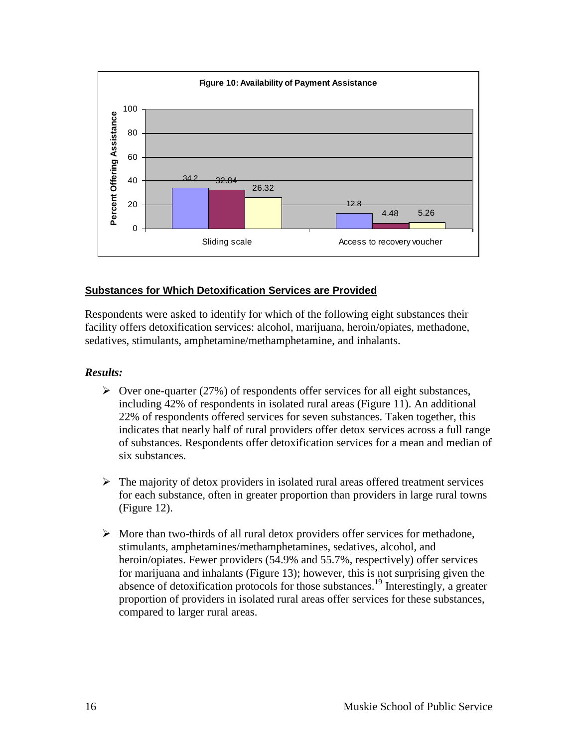![](_page_21_Figure_0.jpeg)

#### <span id="page-21-0"></span>**Substances for Which Detoxification Services are Provided**

Respondents were asked to identify for which of the following eight substances their facility offers detoxification services: alcohol, marijuana, heroin/opiates, methadone, sedatives, stimulants, amphetamine/methamphetamine, and inhalants.

- $\triangleright$  Over one-quarter (27%) of respondents offer services for all eight substances, including 42% of respondents in isolated rural areas (Figure 11). An additional 22% of respondents offered services for seven substances. Taken together, this indicates that nearly half of rural providers offer detox services across a full range of substances. Respondents offer detoxification services for a mean and median of six substances.
- $\triangleright$  The majority of detox providers in isolated rural areas offered treatment services for each substance, often in greater proportion than providers in large rural towns (Figure 12).
- $\triangleright$  More than two-thirds of all rural detox providers offer services for methadone, stimulants, amphetamines/methamphetamines, sedatives, alcohol, and heroin/opiates. Fewer providers (54.9% and 55.7%, respectively) offer services for marijuana and inhalants (Figure 13); however, this is not surprising given the absence of detoxification protocols for those substances.<sup>19</sup> Interestingly, a greater proportion of providers in isolated rural areas offer services for these substances, compared to larger rural areas.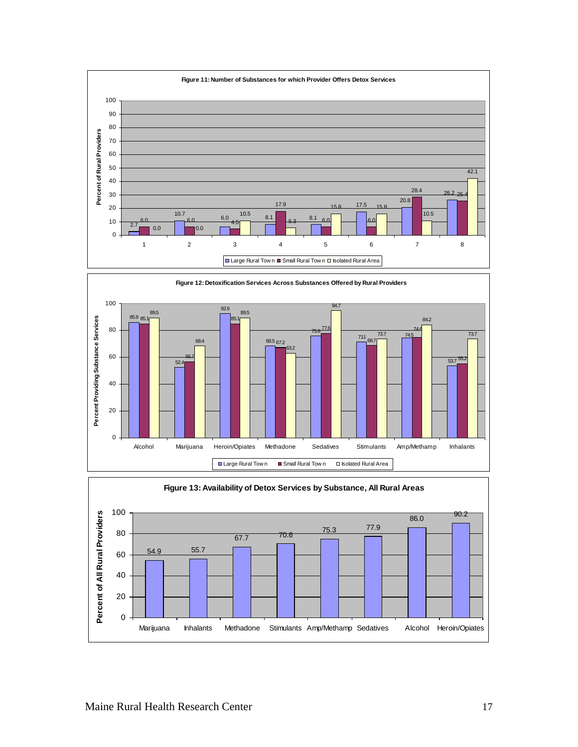![](_page_22_Figure_0.jpeg)

![](_page_22_Figure_1.jpeg)

![](_page_22_Figure_2.jpeg)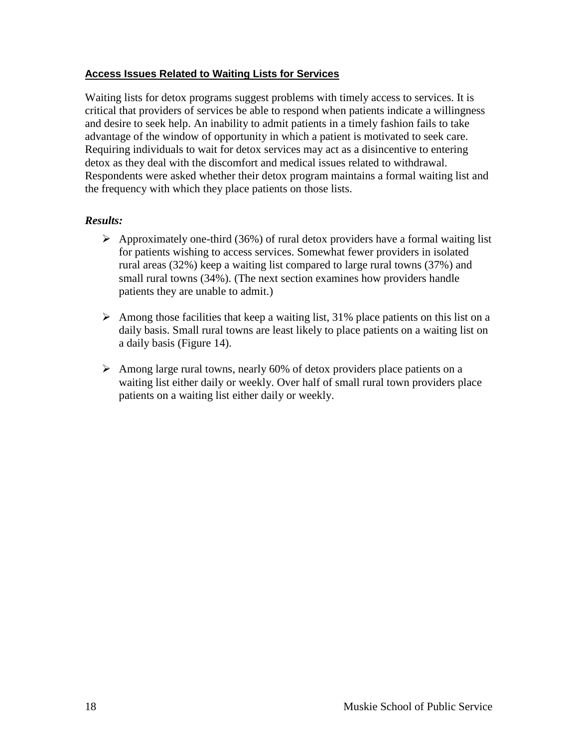#### <span id="page-23-0"></span>**Access Issues Related to Waiting Lists for Services**

Waiting lists for detox programs suggest problems with timely access to services. It is critical that providers of services be able to respond when patients indicate a willingness and desire to seek help. An inability to admit patients in a timely fashion fails to take advantage of the window of opportunity in which a patient is motivated to seek care. Requiring individuals to wait for detox services may act as a disincentive to entering detox as they deal with the discomfort and medical issues related to withdrawal. Respondents were asked whether their detox program maintains a formal waiting list and the frequency with which they place patients on those lists.

- $\triangleright$  Approximately one-third (36%) of rural detox providers have a formal waiting list for patients wishing to access services. Somewhat fewer providers in isolated rural areas (32%) keep a waiting list compared to large rural towns (37%) and small rural towns (34%). (The next section examines how providers handle patients they are unable to admit.)
- $\triangleright$  Among those facilities that keep a waiting list, 31% place patients on this list on a daily basis. Small rural towns are least likely to place patients on a waiting list on a daily basis (Figure 14).
- $\triangleright$  Among large rural towns, nearly 60% of detox providers place patients on a waiting list either daily or weekly. Over half of small rural town providers place patients on a waiting list either daily or weekly.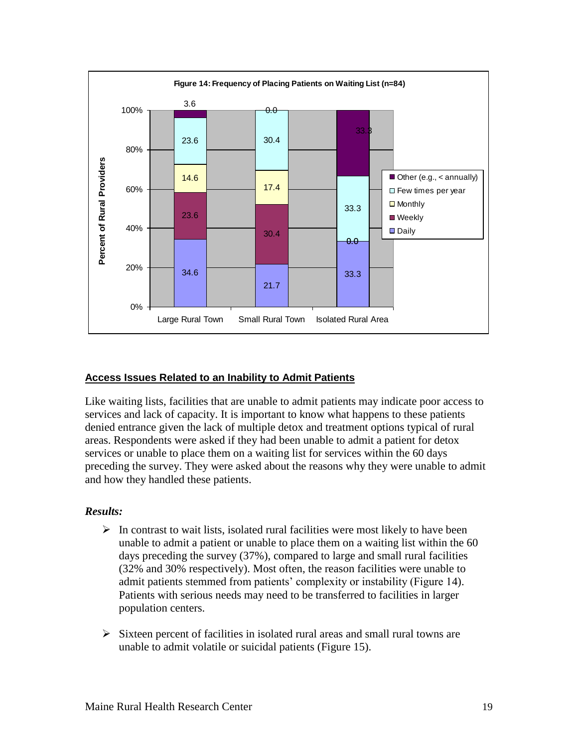![](_page_24_Figure_0.jpeg)

#### <span id="page-24-0"></span>**Access Issues Related to an Inability to Admit Patients**

Like waiting lists, facilities that are unable to admit patients may indicate poor access to services and lack of capacity. It is important to know what happens to these patients denied entrance given the lack of multiple detox and treatment options typical of rural areas. Respondents were asked if they had been unable to admit a patient for detox services or unable to place them on a waiting list for services within the 60 days preceding the survey. They were asked about the reasons why they were unable to admit and how they handled these patients.

- $\triangleright$  In contrast to wait lists, isolated rural facilities were most likely to have been unable to admit a patient or unable to place them on a waiting list within the 60 days preceding the survey (37%), compared to large and small rural facilities (32% and 30% respectively). Most often, the reason facilities were unable to admit patients stemmed from patients' complexity or instability (Figure 14). Patients with serious needs may need to be transferred to facilities in larger population centers.
- $\triangleright$  Sixteen percent of facilities in isolated rural areas and small rural towns are unable to admit volatile or suicidal patients (Figure 15).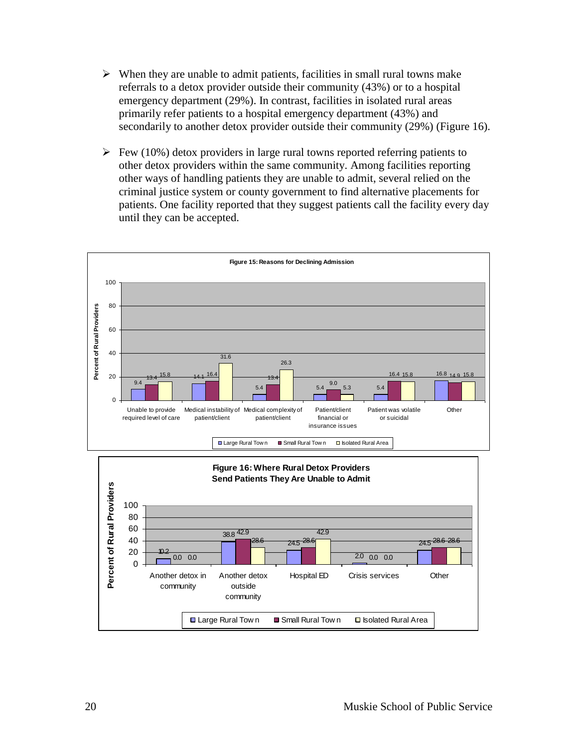- $\triangleright$  When they are unable to admit patients, facilities in small rural towns make referrals to a detox provider outside their community (43%) or to a hospital emergency department (29%). In contrast, facilities in isolated rural areas primarily refer patients to a hospital emergency department (43%) and secondarily to another detox provider outside their community (29%) (Figure 16).
- $\triangleright$  Few (10%) detox providers in large rural towns reported referring patients to other detox providers within the same community. Among facilities reporting other ways of handling patients they are unable to admit, several relied on the criminal justice system or county government to find alternative placements for patients. One facility reported that they suggest patients call the facility every day until they can be accepted.

![](_page_25_Figure_2.jpeg)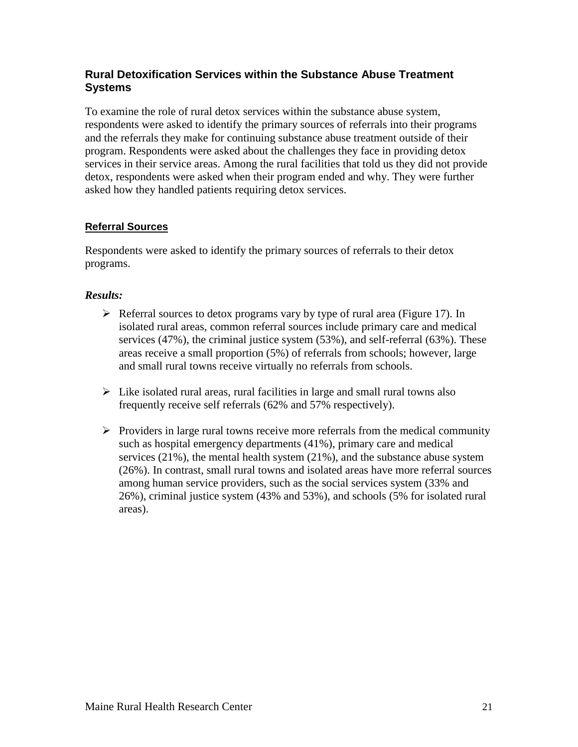# <span id="page-26-0"></span>**Rural Detoxification Services within the Substance Abuse Treatment Systems**

To examine the role of rural detox services within the substance abuse system, respondents were asked to identify the primary sources of referrals into their programs and the referrals they make for continuing substance abuse treatment outside of their program. Respondents were asked about the challenges they face in providing detox services in their service areas. Among the rural facilities that told us they did not provide detox, respondents were asked when their program ended and why. They were further asked how they handled patients requiring detox services.

## <span id="page-26-1"></span>**Referral Sources**

Respondents were asked to identify the primary sources of referrals to their detox programs.

- $\triangleright$  Referral sources to detox programs vary by type of rural area (Figure 17). In isolated rural areas, common referral sources include primary care and medical services (47%), the criminal justice system (53%), and self-referral (63%). These areas receive a small proportion (5%) of referrals from schools; however, large and small rural towns receive virtually no referrals from schools.
- $\triangleright$  Like isolated rural areas, rural facilities in large and small rural towns also frequently receive self referrals (62% and 57% respectively).
- $\triangleright$  Providers in large rural towns receive more referrals from the medical community such as hospital emergency departments (41%), primary care and medical services (21%), the mental health system (21%), and the substance abuse system (26%). In contrast, small rural towns and isolated areas have more referral sources among human service providers, such as the social services system (33% and 26%), criminal justice system (43% and 53%), and schools (5% for isolated rural areas).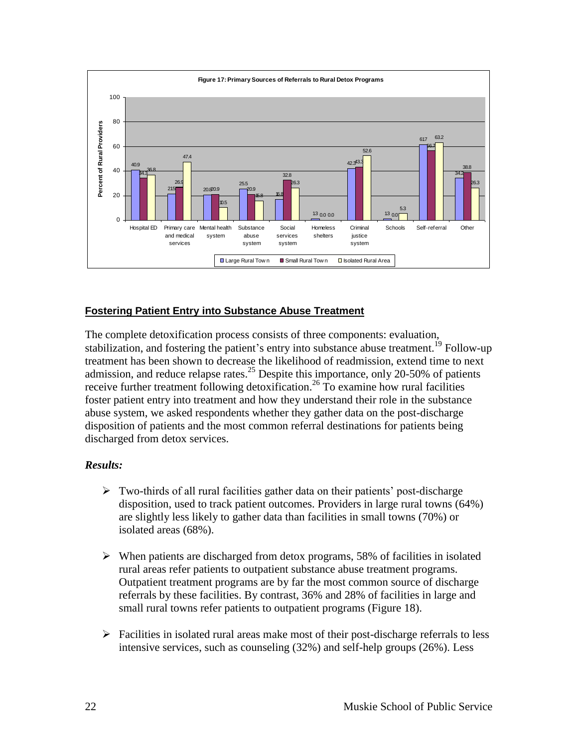![](_page_27_Figure_0.jpeg)

## <span id="page-27-0"></span>**Fostering Patient Entry into Substance Abuse Treatment**

The complete detoxification process consists of three components: evaluation, stabilization, and fostering the patient's entry into substance abuse treatment.<sup>19</sup> Follow-up treatment has been shown to decrease the likelihood of readmission, extend time to next admission, and reduce relapse rates.<sup>25</sup> Despite this importance, only 20-50% of patients receive further treatment following detoxification.<sup>26</sup> To examine how rural facilities foster patient entry into treatment and how they understand their role in the substance abuse system, we asked respondents whether they gather data on the post-discharge disposition of patients and the most common referral destinations for patients being discharged from detox services.

- $\triangleright$  Two-thirds of all rural facilities gather data on their patients' post-discharge disposition, used to track patient outcomes. Providers in large rural towns (64%) are slightly less likely to gather data than facilities in small towns (70%) or isolated areas (68%).
- $\triangleright$  When patients are discharged from detox programs, 58% of facilities in isolated rural areas refer patients to outpatient substance abuse treatment programs. Outpatient treatment programs are by far the most common source of discharge referrals by these facilities. By contrast, 36% and 28% of facilities in large and small rural towns refer patients to outpatient programs (Figure 18).
- $\triangleright$  Facilities in isolated rural areas make most of their post-discharge referrals to less intensive services, such as counseling (32%) and self-help groups (26%). Less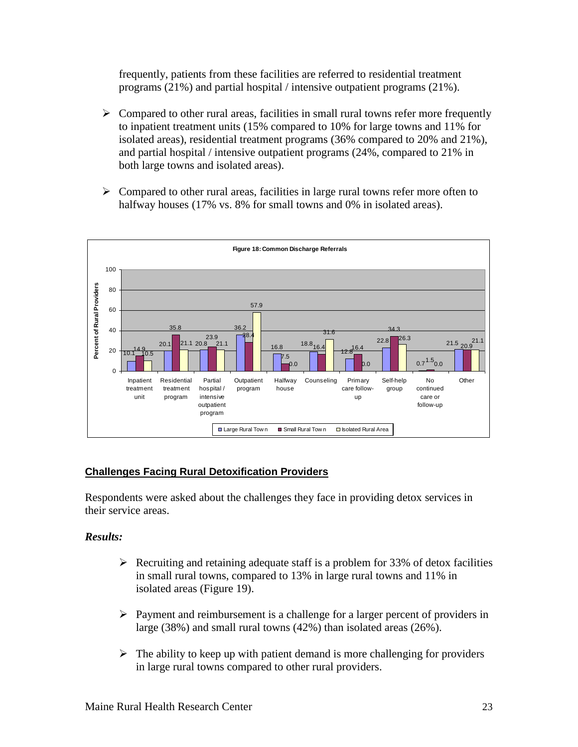frequently, patients from these facilities are referred to residential treatment programs (21%) and partial hospital / intensive outpatient programs (21%).

- $\triangleright$  Compared to other rural areas, facilities in small rural towns refer more frequently to inpatient treatment units (15% compared to 10% for large towns and 11% for isolated areas), residential treatment programs (36% compared to 20% and 21%), and partial hospital / intensive outpatient programs (24%, compared to 21% in both large towns and isolated areas).
- $\triangleright$  Compared to other rural areas, facilities in large rural towns refer more often to halfway houses (17% vs. 8% for small towns and 0% in isolated areas).

![](_page_28_Figure_3.jpeg)

# <span id="page-28-0"></span>**Challenges Facing Rural Detoxification Providers**

Respondents were asked about the challenges they face in providing detox services in their service areas.

- $\triangleright$  Recruiting and retaining adequate staff is a problem for 33% of detox facilities in small rural towns, compared to 13% in large rural towns and 11% in isolated areas (Figure 19).
- $\triangleright$  Payment and reimbursement is a challenge for a larger percent of providers in large (38%) and small rural towns (42%) than isolated areas (26%).
- $\triangleright$  The ability to keep up with patient demand is more challenging for providers in large rural towns compared to other rural providers.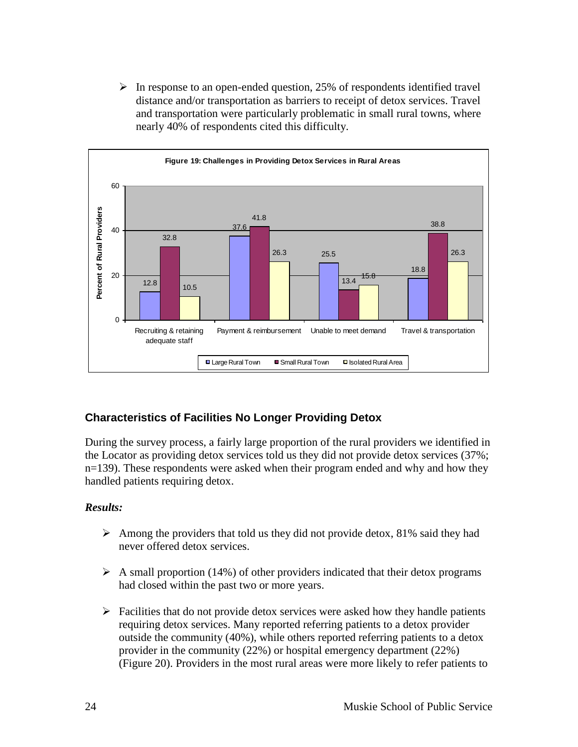$\triangleright$  In response to an open-ended question, 25% of respondents identified travel distance and/or transportation as barriers to receipt of detox services. Travel and transportation were particularly problematic in small rural towns, where nearly 40% of respondents cited this difficulty.

![](_page_29_Figure_1.jpeg)

# <span id="page-29-0"></span>**Characteristics of Facilities No Longer Providing Detox**

During the survey process, a fairly large proportion of the rural providers we identified in the Locator as providing detox services told us they did not provide detox services (37%; n=139). These respondents were asked when their program ended and why and how they handled patients requiring detox.

- $\triangleright$  Among the providers that told us they did not provide detox, 81% said they had never offered detox services.
- $\triangleright$  A small proportion (14%) of other providers indicated that their detox programs had closed within the past two or more years.
- $\triangleright$  Facilities that do not provide detox services were asked how they handle patients requiring detox services. Many reported referring patients to a detox provider outside the community (40%), while others reported referring patients to a detox provider in the community (22%) or hospital emergency department (22%) (Figure 20). Providers in the most rural areas were more likely to refer patients to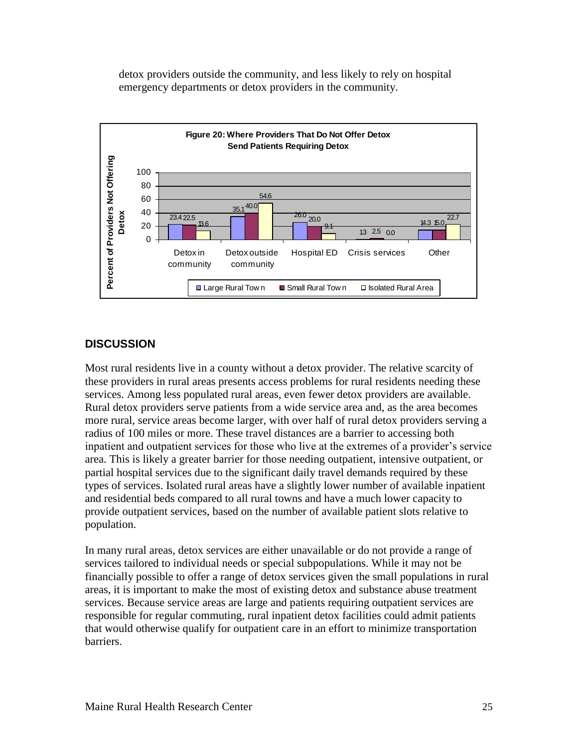detox providers outside the community, and less likely to rely on hospital emergency departments or detox providers in the community.

![](_page_30_Figure_1.jpeg)

## <span id="page-30-0"></span>**DISCUSSION**

Most rural residents live in a county without a detox provider. The relative scarcity of these providers in rural areas presents access problems for rural residents needing these services. Among less populated rural areas, even fewer detox providers are available. Rural detox providers serve patients from a wide service area and, as the area becomes more rural, service areas become larger, with over half of rural detox providers serving a radius of 100 miles or more. These travel distances are a barrier to accessing both inpatient and outpatient services for those who live at the extremes of a provider's service area. This is likely a greater barrier for those needing outpatient, intensive outpatient, or partial hospital services due to the significant daily travel demands required by these types of services. Isolated rural areas have a slightly lower number of available inpatient and residential beds compared to all rural towns and have a much lower capacity to provide outpatient services, based on the number of available patient slots relative to population.

In many rural areas, detox services are either unavailable or do not provide a range of services tailored to individual needs or special subpopulations. While it may not be financially possible to offer a range of detox services given the small populations in rural areas, it is important to make the most of existing detox and substance abuse treatment services. Because service areas are large and patients requiring outpatient services are responsible for regular commuting, rural inpatient detox facilities could admit patients that would otherwise qualify for outpatient care in an effort to minimize transportation barriers.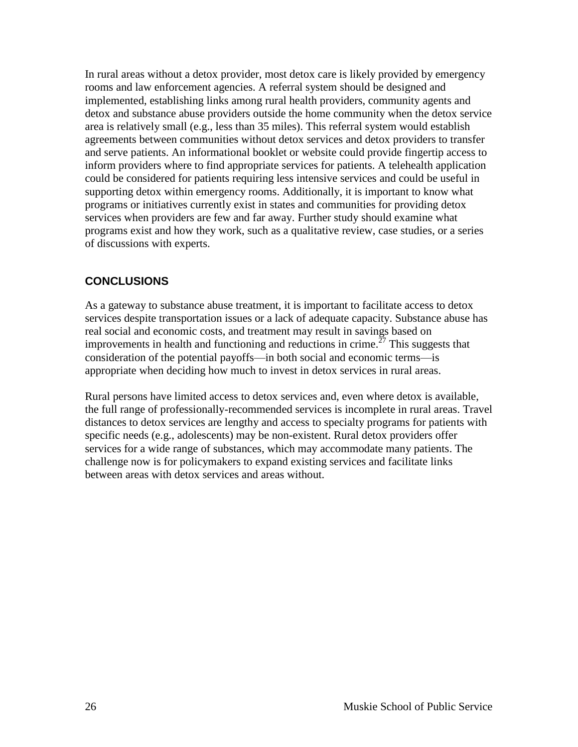In rural areas without a detox provider, most detox care is likely provided by emergency rooms and law enforcement agencies. A referral system should be designed and implemented, establishing links among rural health providers, community agents and detox and substance abuse providers outside the home community when the detox service area is relatively small (e.g., less than 35 miles). This referral system would establish agreements between communities without detox services and detox providers to transfer and serve patients. An informational booklet or website could provide fingertip access to inform providers where to find appropriate services for patients. A telehealth application could be considered for patients requiring less intensive services and could be useful in supporting detox within emergency rooms. Additionally, it is important to know what programs or initiatives currently exist in states and communities for providing detox services when providers are few and far away. Further study should examine what programs exist and how they work, such as a qualitative review, case studies, or a series of discussions with experts.

# <span id="page-31-0"></span>**CONCLUSIONS**

As a gateway to substance abuse treatment, it is important to facilitate access to detox services despite transportation issues or a lack of adequate capacity. Substance abuse has real social and economic costs, and treatment may result in savings based on improvements in health and functioning and reductions in crime.<sup> $27$ </sup> This suggests that consideration of the potential payoffs—in both social and economic terms—is appropriate when deciding how much to invest in detox services in rural areas.

Rural persons have limited access to detox services and, even where detox is available, the full range of professionally-recommended services is incomplete in rural areas. Travel distances to detox services are lengthy and access to specialty programs for patients with specific needs (e.g., adolescents) may be non-existent. Rural detox providers offer services for a wide range of substances, which may accommodate many patients. The challenge now is for policymakers to expand existing services and facilitate links between areas with detox services and areas without.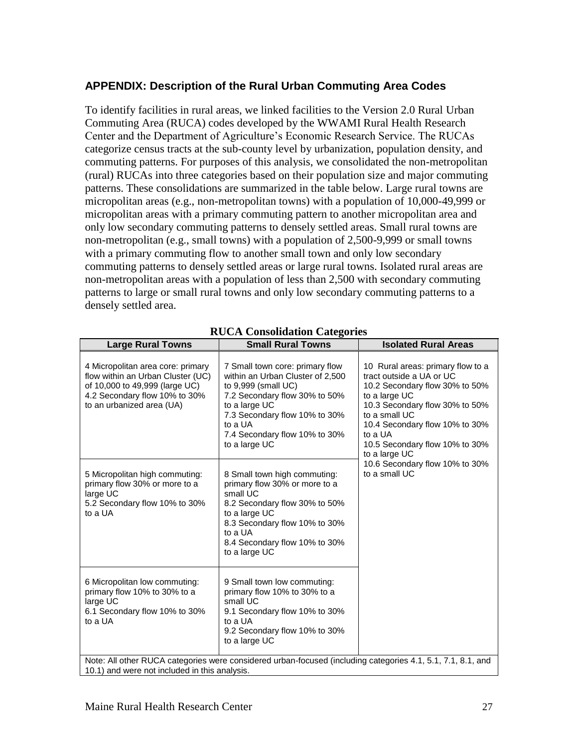# <span id="page-32-0"></span>**APPENDIX: Description of the Rural Urban Commuting Area Codes**

To identify facilities in rural areas, we linked facilities to the Version 2.0 Rural Urban Commuting Area (RUCA) codes developed by the WWAMI Rural Health Research Center and the Department of Agriculture's Economic Research Service. The RUCAs categorize census tracts at the sub-county level by urbanization, population density, and commuting patterns. For purposes of this analysis, we consolidated the non-metropolitan (rural) RUCAs into three categories based on their population size and major commuting patterns. These consolidations are summarized in the table below. Large rural towns are micropolitan areas (e.g., non-metropolitan towns) with a population of 10,000-49,999 or micropolitan areas with a primary commuting pattern to another micropolitan area and only low secondary commuting patterns to densely settled areas. Small rural towns are non-metropolitan (e.g., small towns) with a population of 2,500-9,999 or small towns with a primary commuting flow to another small town and only low secondary commuting patterns to densely settled areas or large rural towns. Isolated rural areas are non-metropolitan areas with a population of less than 2,500 with secondary commuting patterns to large or small rural towns and only low secondary commuting patterns to a densely settled area.

| <b>Large Rural Towns</b>                                                                                                                                               | <b>Small Rural Towns</b>                                                                                                                                                                                                                   | <b>Isolated Rural Areas</b>                                                                                                                                                                                                                                         |  |
|------------------------------------------------------------------------------------------------------------------------------------------------------------------------|--------------------------------------------------------------------------------------------------------------------------------------------------------------------------------------------------------------------------------------------|---------------------------------------------------------------------------------------------------------------------------------------------------------------------------------------------------------------------------------------------------------------------|--|
| 4 Micropolitan area core: primary<br>flow within an Urban Cluster (UC)<br>of 10,000 to 49,999 (large UC)<br>4.2 Secondary flow 10% to 30%<br>to an urbanized area (UA) | 7 Small town core: primary flow<br>within an Urban Cluster of 2,500<br>to 9,999 (small UC)<br>7.2 Secondary flow 30% to 50%<br>to a large UC<br>7.3 Secondary flow 10% to 30%<br>to a UA<br>7.4 Secondary flow 10% to 30%<br>to a large UC | 10 Rural areas: primary flow to a<br>tract outside a UA or UC<br>10.2 Secondary flow 30% to 50%<br>to a large UC<br>10.3 Secondary flow 30% to 50%<br>to a small UC<br>10.4 Secondary flow 10% to 30%<br>to a UA<br>10.5 Secondary flow 10% to 30%<br>to a large UC |  |
| 5 Micropolitan high commuting:<br>primary flow 30% or more to a<br>large UC<br>5.2 Secondary flow 10% to 30%<br>to a UA                                                | 8 Small town high commuting:<br>primary flow 30% or more to a<br>small UC<br>8.2 Secondary flow 30% to 50%<br>to a large UC<br>8.3 Secondary flow 10% to 30%<br>to a UA<br>8.4 Secondary flow 10% to 30%<br>to a large UC                  | 10.6 Secondary flow 10% to 30%<br>to a small UC                                                                                                                                                                                                                     |  |
| 6 Micropolitan low commuting:<br>primary flow 10% to 30% to a<br>large UC<br>6.1 Secondary flow 10% to 30%<br>to a UA                                                  | 9 Small town low commuting:<br>primary flow 10% to 30% to a<br>small UC<br>9.1 Secondary flow 10% to 30%<br>to a UA<br>9.2 Secondary flow 10% to 30%<br>to a large UC                                                                      |                                                                                                                                                                                                                                                                     |  |
| Note: All other RUCA categories were considered urban-focused (including categories 4.1, 5.1, 7.1, 8.1, and<br>10.1) and were not included in this analysis.           |                                                                                                                                                                                                                                            |                                                                                                                                                                                                                                                                     |  |

# **RUCA Consolidation Categories**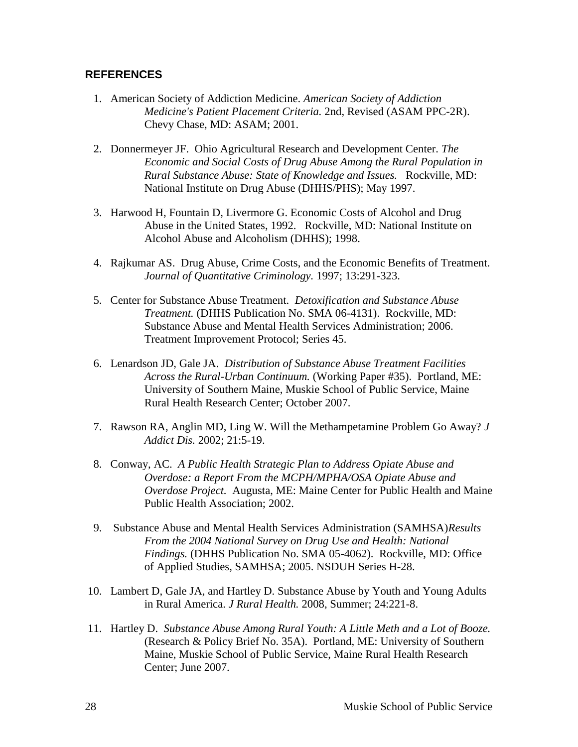#### <span id="page-33-0"></span>**REFERENCES**

- 1. American Society of Addiction Medicine. *American Society of Addiction Medicine's Patient Placement Criteria.* 2nd, Revised (ASAM PPC-2R). Chevy Chase, MD: ASAM; 2001.
- 2. Donnermeyer JF. Ohio Agricultural Research and Development Center. *The Economic and Social Costs of Drug Abuse Among the Rural Population in Rural Substance Abuse: State of Knowledge and Issues.* Rockville, MD: National Institute on Drug Abuse (DHHS/PHS); May 1997.
- 3. Harwood H, Fountain D, Livermore G. Economic Costs of Alcohol and Drug Abuse in the United States, 1992. Rockville, MD: National Institute on Alcohol Abuse and Alcoholism (DHHS); 1998.
- 4. Rajkumar AS. Drug Abuse, Crime Costs, and the Economic Benefits of Treatment. *Journal of Quantitative Criminology.* 1997; 13:291-323.
- 5. Center for Substance Abuse Treatment. *Detoxification and Substance Abuse Treatment.* (DHHS Publication No. SMA 06-4131). Rockville, MD: Substance Abuse and Mental Health Services Administration; 2006. Treatment Improvement Protocol; Series 45.
- 6. Lenardson JD, Gale JA. *Distribution of Substance Abuse Treatment Facilities Across the Rural-Urban Continuum.* (Working Paper #35). Portland, ME: University of Southern Maine, Muskie School of Public Service, Maine Rural Health Research Center; October 2007.
- 7. Rawson RA, Anglin MD, Ling W. Will the Methampetamine Problem Go Away? *J Addict Dis.* 2002; 21:5-19.
- 8. Conway, AC. *A Public Health Strategic Plan to Address Opiate Abuse and Overdose: a Report From the MCPH/MPHA/OSA Opiate Abuse and Overdose Project.* Augusta, ME: Maine Center for Public Health and Maine Public Health Association; 2002.
- 9. Substance Abuse and Mental Health Services Administration (SAMHSA)*Results From the 2004 National Survey on Drug Use and Health: National Findings.* (DHHS Publication No. SMA 05-4062). Rockville, MD: Office of Applied Studies, SAMHSA; 2005. NSDUH Series H-28.
- 10. Lambert D, Gale JA, and Hartley D. Substance Abuse by Youth and Young Adults in Rural America. *J Rural Health.* 2008, Summer; 24:221-8.
- 11. Hartley D. *Substance Abuse Among Rural Youth: A Little Meth and a Lot of Booze.*  (Research & Policy Brief No. 35A). Portland, ME: University of Southern Maine, Muskie School of Public Service, Maine Rural Health Research Center; June 2007.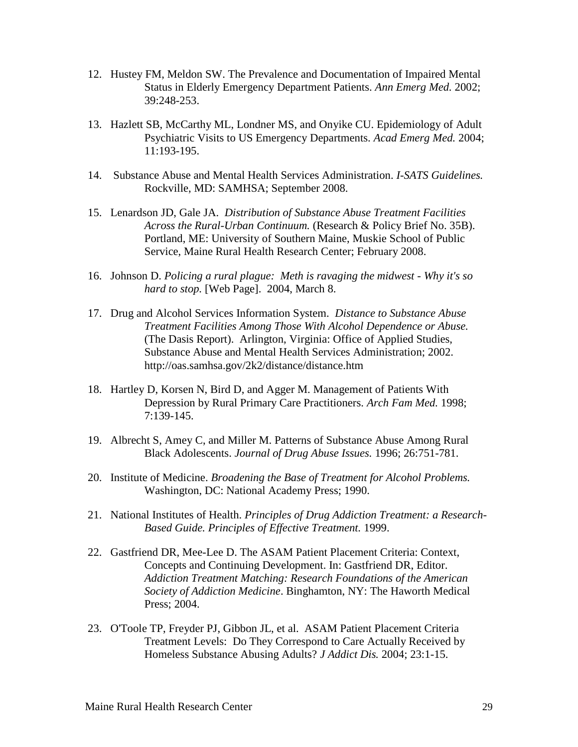- 12. Hustey FM, Meldon SW. The Prevalence and Documentation of Impaired Mental Status in Elderly Emergency Department Patients. *Ann Emerg Med.* 2002; 39:248-253.
- 13. Hazlett SB, McCarthy ML, Londner MS, and Onyike CU. Epidemiology of Adult Psychiatric Visits to US Emergency Departments. *Acad Emerg Med.* 2004; 11:193-195.
- 14. Substance Abuse and Mental Health Services Administration. *I-SATS Guidelines.*  Rockville, MD: SAMHSA; September 2008.
- 15. Lenardson JD, Gale JA. *Distribution of Substance Abuse Treatment Facilities Across the Rural-Urban Continuum.* (Research & Policy Brief No. 35B). Portland, ME: University of Southern Maine, Muskie School of Public Service, Maine Rural Health Research Center; February 2008.
- 16. Johnson D. *Policing a rural plague: Meth is ravaging the midwest - Why it's so hard to stop.* [Web Page]. 2004, March 8.
- 17. Drug and Alcohol Services Information System. *Distance to Substance Abuse Treatment Facilities Among Those With Alcohol Dependence or Abuse.*  (The Dasis Report). Arlington, Virginia: Office of Applied Studies, Substance Abuse and Mental Health Services Administration; 2002. http://oas.samhsa.gov/2k2/distance/distance.htm
- 18. Hartley D, Korsen N, Bird D, and Agger M. Management of Patients With Depression by Rural Primary Care Practitioners. *Arch Fam Med.* 1998; 7:139-145.
- 19. Albrecht S, Amey C, and Miller M. Patterns of Substance Abuse Among Rural Black Adolescents. *Journal of Drug Abuse Issues.* 1996; 26:751-781.
- 20. Institute of Medicine. *Broadening the Base of Treatment for Alcohol Problems.*  Washington, DC: National Academy Press; 1990.
- 21. National Institutes of Health. *Principles of Drug Addiction Treatment: a Research-Based Guide. Principles of Effective Treatment.* 1999.
- 22. Gastfriend DR, Mee-Lee D. The ASAM Patient Placement Criteria: Context, Concepts and Continuing Development. In: Gastfriend DR, Editor. *Addiction Treatment Matching: Research Foundations of the American Society of Addiction Medicine*. Binghamton, NY: The Haworth Medical Press; 2004.
- 23. O'Toole TP, Freyder PJ, Gibbon JL, et al. ASAM Patient Placement Criteria Treatment Levels: Do They Correspond to Care Actually Received by Homeless Substance Abusing Adults? *J Addict Dis.* 2004; 23:1-15.